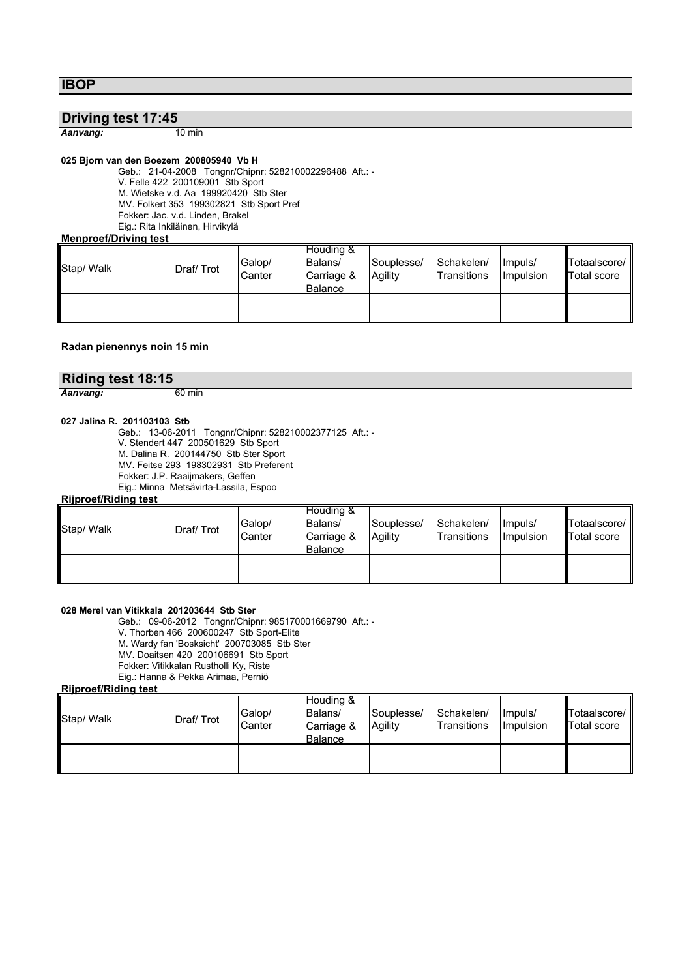**IBOP**

# **Driving test 17:45**

*Aanvang:* 10 min

# **025 Bjorn van den Boezem 200805940 Vb H**

Geb.: 21-04-2008 Tongnr/Chipnr: 528210002296488 Aft.: - V. Felle 422 200109001 Stb Sport M. Wietske v.d. Aa 199920420 Stb Ster MV. Folkert 353 199302821 Stb Sport Pref Fokker: Jac. v.d. Linden, Brakel Eig.: Rita Inkiläinen, Hirvikylä

#### **Menproef/Driving test**

| Stap/ Walk | Draf/Trot | Galop/<br>Canter | Houding &<br>Balans/<br>Carriage &<br>Balance | Souplesse/<br>Agility | Schakelen/<br><b>Transitions</b> | Impuls/<br>Impulsion | Totaalscore/<br><b>Total score</b> |
|------------|-----------|------------------|-----------------------------------------------|-----------------------|----------------------------------|----------------------|------------------------------------|
|            |           |                  |                                               |                       |                                  |                      |                                    |

## **Radan pienennys noin 15 min**

| Riding test 18:15 |        |
|-------------------|--------|
| Aanvang:          | 60 min |

### **027 Jalina R. 201103103 Stb**

Geb.: 13-06-2011 Tongnr/Chipnr: 528210002377125 Aft.: - V. Stendert 447 200501629 Stb Sport M. Dalina R. 200144750 Stb Ster Sport MV. Feitse 293 198302931 Stb Preferent Fokker: J.P. Raaijmakers, Geffen Eig.: Minna Metsävirta-Lassila, Espoo

### **Rijproef/Riding test**

| Stap/ Walk | Draf/Trot | Galop/<br>Canter | Houding &<br>Balans/<br>Carriage &<br><b>Balance</b> | Souplesse/<br>Agility | Schakelen/<br>Transitions | Impuls/<br><b>Impulsion</b> | Totaalscore/ I'<br>Total score |
|------------|-----------|------------------|------------------------------------------------------|-----------------------|---------------------------|-----------------------------|--------------------------------|
|            |           |                  |                                                      |                       |                           |                             |                                |

## **028 Merel van Vitikkala 201203644 Stb Ster**

Geb.: 09-06-2012 Tongnr/Chipnr: 985170001669790 Aft.: -

V. Thorben 466 200600247 Stb Sport-Elite

M. Wardy fan 'Bosksicht' 200703085 Stb Ster

MV. Doaitsen 420 200106691 Stb Sport

Fokker: Vitikkalan Rustholli Ky, Riste Eig.: Hanna & Pekka Arimaa, Perniö

# **Rijproef/Riding test**

| Stap/ Walk | Draf/Trot | Galop/<br>Canter | Houding &<br>Balans/<br>Carriage &<br><b>Balance</b> | Souplesse/<br>Agility | Schakelen/<br>Transitions | Ilmpuls/<br>Impulsion | Totaalscore/<br><b>ITotal score</b> |
|------------|-----------|------------------|------------------------------------------------------|-----------------------|---------------------------|-----------------------|-------------------------------------|
|            |           |                  |                                                      |                       |                           |                       |                                     |